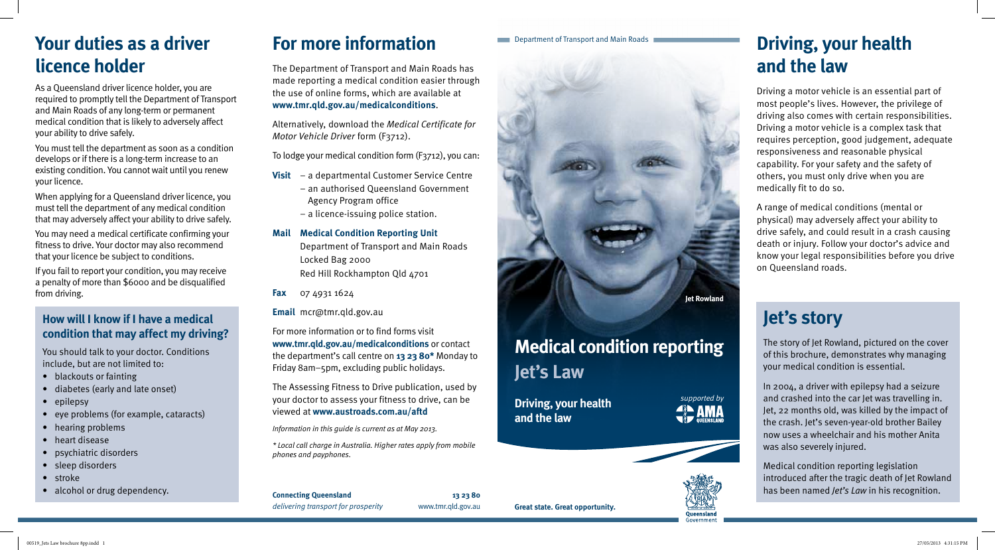**Great state. Great opportunity.**

**Connecting Queensland 13 23 80** *delivering transport for prosperity* www.tmr.qld.gov.au

### Department of Transport and Main Roads

*supported by* **ANA** 



# **Medical condition reporting Jet's Law**

**Driving, your health and the law**



# **Driving, your health and the law**

Driving a motor vehicle is an essential part of most people's lives. However, the privilege of driving also comes with certain responsibilities. Driving a motor vehicle is a complex task that requires perception, good judgement, adequate responsiveness and reasonable physical capability. For your safety and the safety of others, you must only drive when you are medically fit to do so.

A range of medical conditions (mental or physical) may adversely affect your ability to drive safely, and could result in a crash causing death or injury. Follow your doctor's advice and know your legal responsibilities before you drive on Queensland roads.

# **Your duties as a driver licence holder**

As a Queensland driver licence holder, you are required to promptly tell the Department of Transport and Main Roads of any long-term or permanent medical condition that is likely to adversely affect your ability to drive safely.

You must tell the department as soon as a condition develops or if there is a long-term increase to an existing condition. You cannot wait until you renew your licence.

When applying for a Queensland driver licence, you must tell the department of any medical condition that may adversely affect your ability to drive safely.

You may need a medical certificate confirming your fitness to drive. Your doctor may also recommend that your licence be subject to conditions.

If you fail to report your condition, you may receive a penalty of more than \$6000 and be disqualified from driving.

# **For more information**

The Department of Transport and Main Roads has made reporting a medical condition easier through the use of online forms, which are available at **www.tmr.qld.gov.au/medicalconditions**.

Alternatively, download the *Medical Certificate for Motor Vehicle Driver* form (F3712).

To lodge your medical condition form (F3712), you can:

- **Visit** a departmental Customer Service Centre
	- an authorised Queensland Government Agency Program office
	- a licence-issuing police station.

### **Mail Medical Condition Reporting Unit**

Department of Transport and Main Roads Locked Bag 2000 Red Hill Rockhampton Qld 4701

**Fax** 07 4931 1624

**Email** mcr@tmr.qld.gov.au

For more information or to find forms visit **www.tmr.qld.gov.au/medicalconditions** or contact the department's call centre on **13 23 80\*** Monday to Friday 8am–5pm, excluding public holidays.

The Assessing Fitness to Drive publication, used by your doctor to assess your fitness to drive, can be viewed at **www.austroads.com.au/aftd**

*Information in this guide is current as at May 2013.*

*\* Local call charge in Australia. Higher rates apply from mobile phones and payphones.*

# **Jet's story**

The story of Jet Rowland, pictured on the cover of this brochure, demonstrates why managing your medical condition is essential.

In 2004, a driver with epilepsy had a seizure and crashed into the car Jet was travelling in. Jet, 22 months old, was killed by the impact of the crash. Jet's seven-year-old brother Bailey now uses a wheelchair and his mother Anita was also severely injured.

Medical condition reporting legislation introduced after the tragic death of Jet Rowland has been named *Jet's Law* in his recognition.

# **How will I know if I have a medical condition that may affect my driving?**

You should talk to your doctor. Conditions include, but are not limited to:

- blackouts or fainting
- • diabetes (early and late onset)
- epilepsy
- • eye problems (for example, cataracts)
- hearing problems
- heart disease
- • psychiatric disorders
- sleep disorders
- stroke
- alcohol or drug dependency.